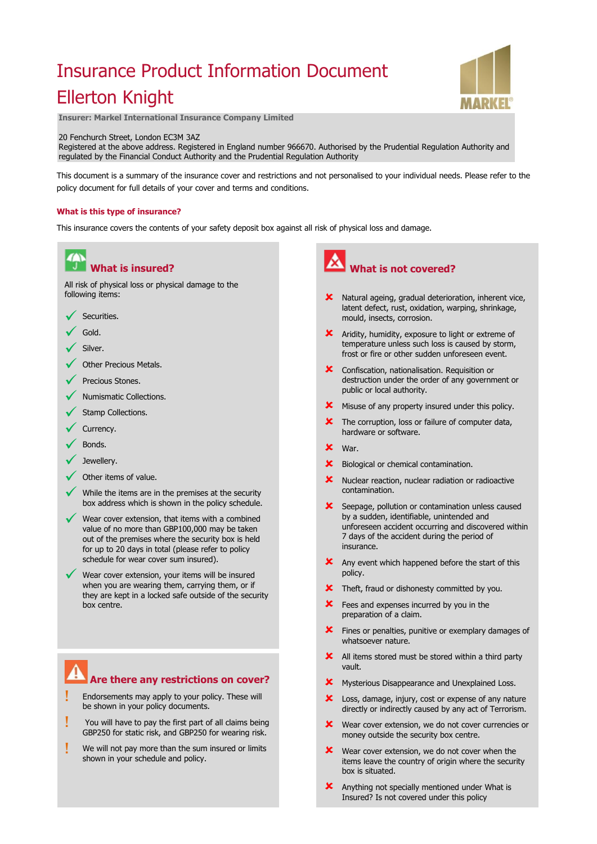# Insurance Product Information Document Ellerton Knight



**Insurer: Markel International Insurance Company Limited**

#### 20 Fenchurch Street, London EC3M 3AZ

Registered at the above address. Registered in England number 966670. Authorised by the Prudential Regulation Authority and regulated by the Financial Conduct Authority and the Prudential Regulation Authority

This document is a summary of the insurance cover and restrictions and not personalised to your individual needs. Please refer to the policy document for full details of your cover and terms and conditions.

#### **What is this type of insurance?**

This insurance covers the contents of your safety deposit box against all risk of physical loss and damage.



#### **Are there any restrictions on cover?**

- Endorsements may apply to your policy. These will be shown in your policy documents.
- You will have to pay the first part of all claims being GBP250 for static risk, and GBP250 for wearing risk.
- We will not pay more than the sum insured or limits shown in your schedule and policy.

## **What is not covered?**

- Natural ageing, gradual deterioration, inherent vice, latent defect, rust, oxidation, warping, shrinkage, mould, insects, corrosion.
- **X** Aridity, humidity, exposure to light or extreme of temperature unless such loss is caused by storm, frost or fire or other sudden unforeseen event.
- **X** Confiscation, nationalisation. Requisition or destruction under the order of any government or public or local authority.
- **X** Misuse of any property insured under this policy.
- The corruption, loss or failure of computer data, hardware or software.
- War.
- **X** Biological or chemical contamination.
- **X** Nuclear reaction, nuclear radiation or radioactive contamination.
- **X** Seepage, pollution or contamination unless caused by a sudden, identifiable, unintended and unforeseen accident occurring and discovered within 7 days of the accident during the period of insurance.
- **X** Any event which happened before the start of this policy.
- **X** Theft, fraud or dishonesty committed by you.
- **X** Fees and expenses incurred by you in the preparation of a claim.
- **X** Fines or penalties, punitive or exemplary damages of whatsoever nature.
- **X** All items stored must be stored within a third party vault.
- **X** Mysterious Disappearance and Unexplained Loss.
- **X** Loss, damage, injury, cost or expense of any nature directly or indirectly caused by any act of Terrorism.
- Wear cover extension, we do not cover currencies or money outside the security box centre.
- **X** Wear cover extension, we do not cover when the items leave the country of origin where the security box is situated.
- Anything not specially mentioned under What is Insured? Is not covered under this policy